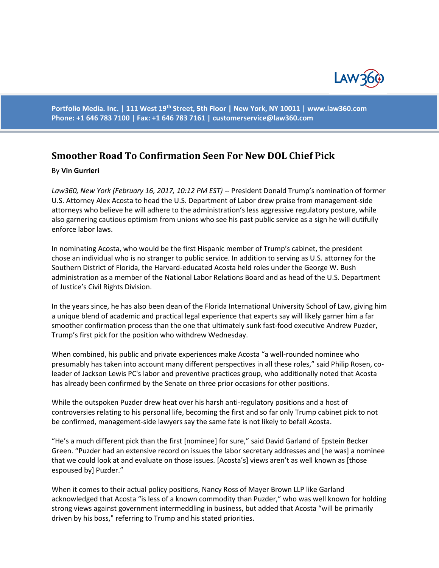

**Portfolio Media. Inc. | 111 West 19th Street, 5th Floor | New York, NY 10011 | www.law360.com Phone: +1 646 783 7100 | Fax: +1 646 783 7161 | [customerservice@law360.com](mailto:customerservice@law360.com)**

## **Smoother Road To Confirmation Seen For New DOL Chief Pick**

## By **Vin Gurrieri**

*Law360, New York (February 16, 2017, 10:12 PM EST)* -- President Donald Trump's nomination of former U.S. Attorney Alex Acosta to head the U.S. Department of Labor drew praise from management-side attorneys who believe he will adhere to the administration's less aggressive regulatory posture, while also garnering cautious optimism from unions who see his past public service as a sign he will dutifully enforce labor laws.

In nominating Acosta, who would be the first Hispanic member of Trump's cabinet, the president chose an individual who is no stranger to public service. In addition to serving as U.S. attorney for the Southern District of Florida, the Harvard-educated Acosta held roles under the George W. Bush administration as a member of the National Labor Relations Board and as head of the U.S. Department of Justice's Civil Rights Division.

In the years since, he has also been dean of the Florida International University School of Law, giving him a unique blend of academic and practical legal experience that experts say will likely garner him a far smoother confirmation process than the one that ultimately sunk fast-food executive Andrew Puzder, Trump's first pick for the position who withdrew Wednesday.

When combined, his public and private experiences make Acosta "a well-rounded nominee who presumably has taken into account many different perspectives in all these roles," said Philip Rosen, coleader of Jackson Lewis PC's labor and preventive practices group, who additionally noted that Acosta has already been confirmed by the Senate on three prior occasions for other positions.

While the outspoken Puzder drew heat over his harsh anti-regulatory positions and a host of controversies relating to his personal life, becoming the first and so far only Trump cabinet pick to not be confirmed, management-side lawyers say the same fate is not likely to befall Acosta.

"He's a much different pick than the first [nominee] for sure," said David Garland of Epstein Becker Green. "Puzder had an extensive record on issues the labor secretary addresses and [he was] a nominee that we could look at and evaluate on those issues. [Acosta's] views aren't as well known as [those espoused by] Puzder."

When it comes to their actual policy positions, Nancy Ross of Mayer Brown LLP like Garland acknowledged that Acosta "is less of a known commodity than Puzder," who was well known for holding strong views against government intermeddling in business, but added that Acosta "will be primarily driven by his boss," referring to Trump and his stated priorities.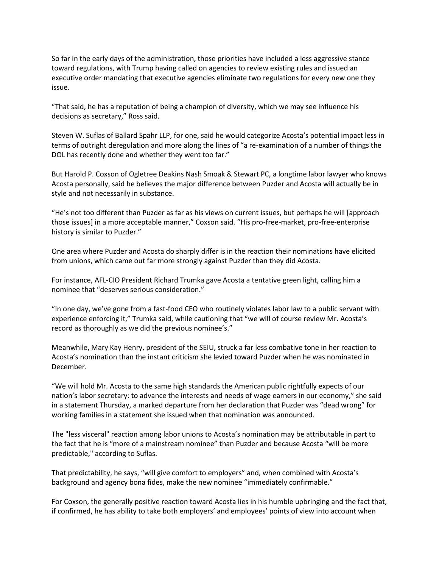So far in the early days of the administration, those priorities have included a less aggressive stance toward regulations, with Trump having called on agencies to review existing rules and issued an executive order mandating that executive agencies eliminate two regulations for every new one they issue.

"That said, he has a reputation of being a champion of diversity, which we may see influence his decisions as secretary," Ross said.

Steven W. Suflas of Ballard Spahr LLP, for one, said he would categorize Acosta's potential impact less in terms of outright deregulation and more along the lines of "a re-examination of a number of things the DOL has recently done and whether they went too far."

But Harold P. Coxson of Ogletree Deakins Nash Smoak & Stewart PC, a longtime labor lawyer who knows Acosta personally, said he believes the major difference between Puzder and Acosta will actually be in style and not necessarily in substance.

"He's not too different than Puzder as far as his views on current issues, but perhaps he will [approach those issues] in a more acceptable manner," Coxson said. "His pro-free-market, pro-free-enterprise history is similar to Puzder."

One area where Puzder and Acosta do sharply differ is in the reaction their nominations have elicited from unions, which came out far more strongly against Puzder than they did Acosta.

For instance, AFL-CIO President Richard Trumka gave Acosta a tentative green light, calling him a nominee that "deserves serious consideration."

"In one day, we've gone from a fast-food CEO who routinely violates labor law to a public servant with experience enforcing it," Trumka said, while cautioning that "we will of course review Mr. Acosta's record as thoroughly as we did the previous nominee's."

Meanwhile, Mary Kay Henry, president of the SEIU, struck a far less combative tone in her reaction to Acosta's nomination than the instant criticism she levied toward Puzder when he was nominated in December.

"We will hold Mr. Acosta to the same high standards the American public rightfully expects of our nation's labor secretary: to advance the interests and needs of wage earners in our economy," she said in a statement Thursday, a marked departure from her declaration that Puzder was "dead wrong" for working families in a statement she issued when that nomination was announced.

The "less visceral" reaction among labor unions to Acosta's nomination may be attributable in part to the fact that he is "more of a mainstream nominee" than Puzder and because Acosta "will be more predictable," according to Suflas.

That predictability, he says, "will give comfort to employers" and, when combined with Acosta's background and agency bona fides, make the new nominee "immediately confirmable."

For Coxson, the generally positive reaction toward Acosta lies in his humble upbringing and the fact that, if confirmed, he has ability to take both employers' and employees' points of view into account when